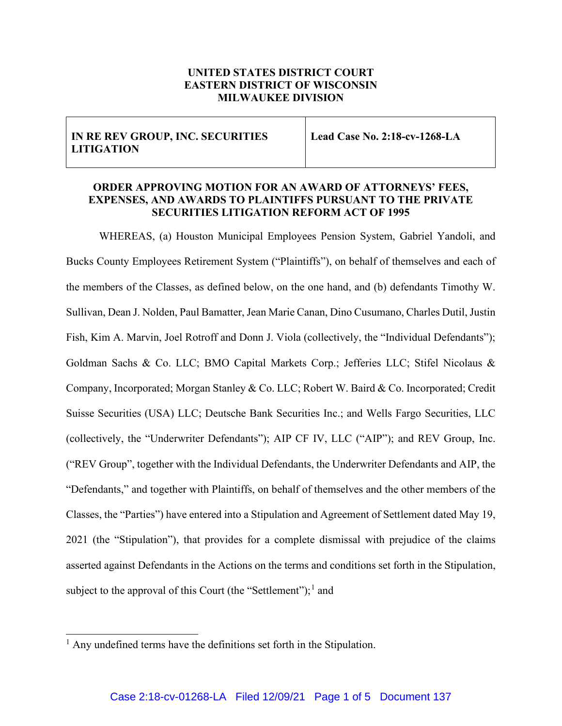## **UNITED STATES DISTRICT COURT EASTERN DISTRICT OF WISCONSIN MILWAUKEE DIVISION**

| IN RE REV GROUP, INC. SECURITIES<br><b>LITIGATION</b> | Lead Case No. 2:18-cv-1268-LA |
|-------------------------------------------------------|-------------------------------|
|                                                       |                               |

## **ORDER APPROVING MOTION FOR AN AWARD OF ATTORNEYS' FEES, EXPENSES, AND AWARDS TO PLAINTIFFS PURSUANT TO THE PRIVATE SECURITIES LITIGATION REFORM ACT OF 1995**

WHEREAS, (a) Houston Municipal Employees Pension System, Gabriel Yandoli, and Bucks County Employees Retirement System ("Plaintiffs"), on behalf of themselves and each of the members of the Classes, as defined below, on the one hand, and (b) defendants Timothy W. Sullivan, Dean J. Nolden, Paul Bamatter, Jean Marie Canan, Dino Cusumano, Charles Dutil, Justin Fish, Kim A. Marvin, Joel Rotroff and Donn J. Viola (collectively, the "Individual Defendants"); Goldman Sachs & Co. LLC; BMO Capital Markets Corp.; Jefferies LLC; Stifel Nicolaus & Company, Incorporated; Morgan Stanley & Co. LLC; Robert W. Baird & Co. Incorporated; Credit Suisse Securities (USA) LLC; Deutsche Bank Securities Inc.; and Wells Fargo Securities, LLC (collectively, the "Underwriter Defendants"); AIP CF IV, LLC ("AIP"); and REV Group, Inc. ("REV Group", together with the Individual Defendants, the Underwriter Defendants and AIP, the "Defendants," and together with Plaintiffs, on behalf of themselves and the other members of the Classes, the "Parties") have entered into a Stipulation and Agreement of Settlement dated May 19, 2021 (the "Stipulation"), that provides for a complete dismissal with prejudice of the claims asserted against Defendants in the Actions on the terms and conditions set forth in the Stipulation, subject to the approval of this Court (the "Settlement");<sup>1</sup> and

<sup>&</sup>lt;sup>1</sup> Any undefined terms have the definitions set forth in the Stipulation.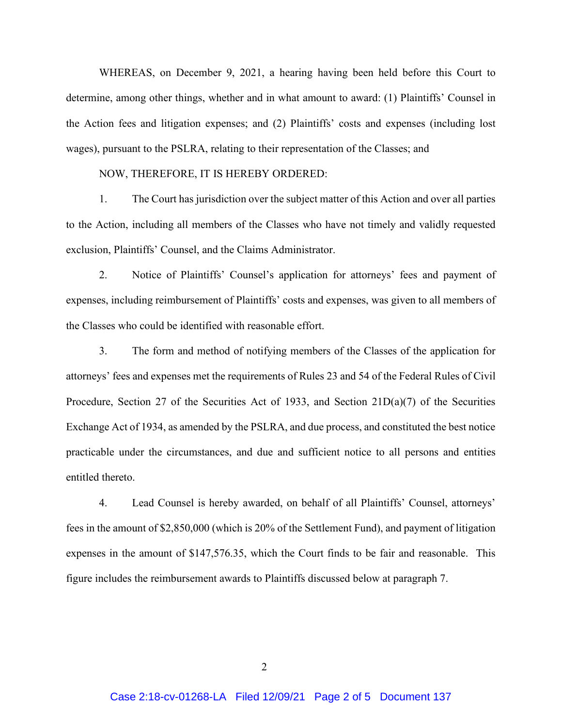WHEREAS, on December 9, 2021, a hearing having been held before this Court to determine, among other things, whether and in what amount to award: (1) Plaintiffs' Counsel in the Action fees and litigation expenses; and (2) Plaintiffs' costs and expenses (including lost wages), pursuant to the PSLRA, relating to their representation of the Classes; and

## NOW, THEREFORE, IT IS HEREBY ORDERED:

1. The Court has jurisdiction over the subject matter of this Action and over all parties to the Action, including all members of the Classes who have not timely and validly requested exclusion, Plaintiffs' Counsel, and the Claims Administrator.

2. Notice of Plaintiffs' Counsel's application for attorneys' fees and payment of expenses, including reimbursement of Plaintiffs' costs and expenses, was given to all members of the Classes who could be identified with reasonable effort.

3. The form and method of notifying members of the Classes of the application for attorneys' fees and expenses met the requirements of Rules 23 and 54 of the Federal Rules of Civil Procedure, Section 27 of the Securities Act of 1933, and Section  $21D(a)(7)$  of the Securities Exchange Act of 1934, as amended by the PSLRA, and due process, and constituted the best notice practicable under the circumstances, and due and sufficient notice to all persons and entities entitled thereto.

4. Lead Counsel is hereby awarded, on behalf of all Plaintiffs' Counsel, attorneys' fees in the amount of \$2,850,000 (which is 20% of the Settlement Fund), and payment of litigation expenses in the amount of \$147,576.35, which the Court finds to be fair and reasonable. This figure includes the reimbursement awards to Plaintiffs discussed below at paragraph 7.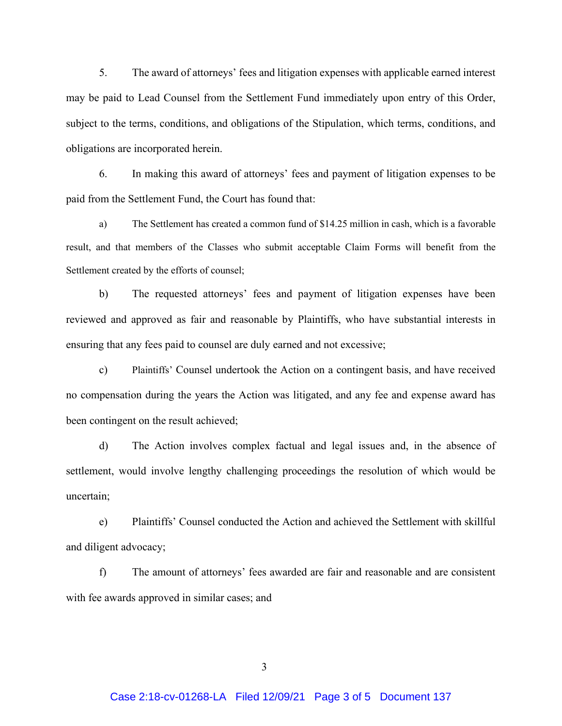5. The award of attorneys' fees and litigation expenses with applicable earned interest may be paid to Lead Counsel from the Settlement Fund immediately upon entry of this Order, subject to the terms, conditions, and obligations of the Stipulation, which terms, conditions, and obligations are incorporated herein.

6. In making this award of attorneys' fees and payment of litigation expenses to be paid from the Settlement Fund, the Court has found that:

a) The Settlement has created a common fund of \$14.25 million in cash, which is a favorable result, and that members of the Classes who submit acceptable Claim Forms will benefit from the Settlement created by the efforts of counsel;

b) The requested attorneys' fees and payment of litigation expenses have been reviewed and approved as fair and reasonable by Plaintiffs, who have substantial interests in ensuring that any fees paid to counsel are duly earned and not excessive;

c) Plaintiffs' Counsel undertook the Action on a contingent basis, and have received no compensation during the years the Action was litigated, and any fee and expense award has been contingent on the result achieved;

d) The Action involves complex factual and legal issues and, in the absence of settlement, would involve lengthy challenging proceedings the resolution of which would be uncertain;

e) Plaintiffs' Counsel conducted the Action and achieved the Settlement with skillful and diligent advocacy;

f) The amount of attorneys' fees awarded are fair and reasonable and are consistent with fee awards approved in similar cases; and

 $\overline{3}$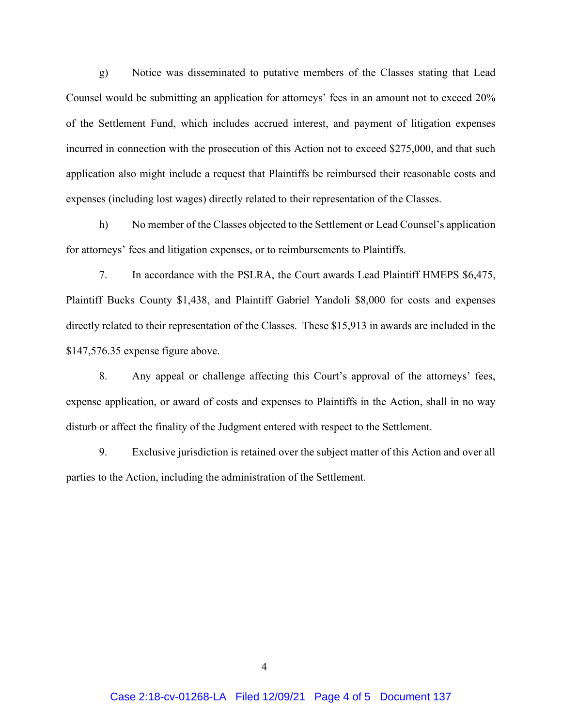g) Notice was disseminated to putative members of the Classes stating that Lead Counsel would be submitting an application for attorneys' fees in an amount not to exceed 20% of the Settlement Fund, which includes accrued interest, and payment of litigation expenses incurred in connection with the prosecution of this Action not to exceed \$275,000, and that such application also might include a request that Plaintiffs be reimbursed their reasonable costs and expenses (including lost wages) directly related to their representation of the Classes.

h) No member of the Classes objected to the Settlement or Lead Counsel's application for attorneys' fees and litigation expenses, or to reimbursements to Plaintiffs.

7. In accordance with the PSLRA, the Court awards Lead Plaintiff HMEPS \$6,475, Plaintiff Bucks County \$1,438, and Plaintiff Gabriel Yandoli \$8,000 for costs and expenses directly related to their representation of the Classes. These \$15,913 in awards are included in the \$147,576.35 expense figure above.

8. Any appeal or challenge affecting this Court's approval of the attorneys' fees, expense application, or award of costs and expenses to Plaintiffs in the Action, shall in no way disturb or affect the finality of the Judgment entered with respect to the Settlement.

9. Exclusive jurisdiction is retained over the subject matter of this Action and over all parties to the Action, including the administration of the Settlement.

 $\overline{4}$